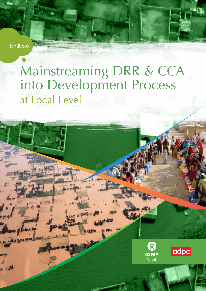Handbook

# Mainstreaming DRR & CCA into Development Process at Local Level



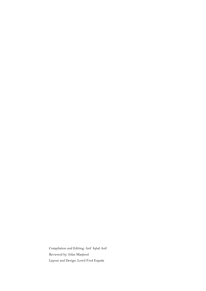Compilation and Editing: Asif Iqbal Asif Reviewed by: Irfan Maqbool Layout and Design: Lowil Fred Espada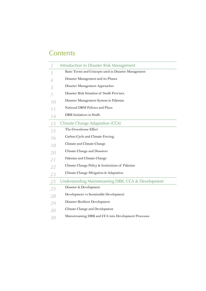# **Contents**

|    | Introduction to Disaster Risk Management             |
|----|------------------------------------------------------|
| 1  | Basic Terms and Concepts used in Disaster Management |
| 4  | Disaster Management and its Phases                   |
| 5  | Disaster Management Approaches                       |
| 7  | Disaster Risk Situation of Sindh Province            |
| 10 | Disaster Management System in Pakistan               |
| 11 | National DRM Policies and Plans                      |
| 14 | DRR Initiatives in Sindh                             |
| 15 | Climate Change Adaptation (CCA)                      |
| 15 | The Greenhouse Effect                                |
| 16 | Carbon Cycle and Climate Forcing.                    |
| 18 | Climate and Climate Change                           |
| 20 | Climate Change and Disasters                         |
| 21 | Pakistan and Climate Change                          |
| 22 | Climate Change Policy & Institutions of Pakistan     |
| 23 | Climate Change Mitigation & Adaptation               |
| 25 | Understanding Mainstreaming DRR, CCA & Development   |
| 25 | Disaster & Development                               |
| 28 | Development vs Sustainable Development               |
| 29 | Disaster Resilient Development                       |
| 30 | Climate Change and Development                       |
| 30 | Mainstreaming DRR and CCA into Development Processes |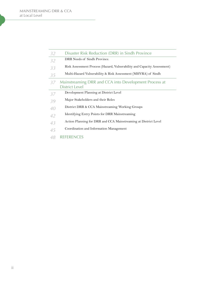| 32 | Disaster Risk Reduction (DRR) in Sindh Province                         |
|----|-------------------------------------------------------------------------|
| 32 | DRR Needs of Sindh Province.                                            |
| 33 | Risk Assessment Process (Hazard, Vulnerability and Capacity Assessment) |
| 35 | Multi-Hazard Vulnerability & Risk Assessment (MHVRA) of Sindh           |
| 37 | Mainstreaming DRR and CCA into Development Process at                   |
|    | <b>District Level</b>                                                   |
| 37 | Development Planning at District Level                                  |
| 39 | Major Stakeholders and their Roles                                      |
| 40 | District DRR & CCA Mainstreaming Working Groups                         |
| 42 | Identifying Entry Points for DRR Mainstreaming                          |
| 43 | Action Planning for DRR and CCA Mainstreaming at District Level         |
| 45 | Coordination and Information Management                                 |
|    |                                                                         |

[REFERENCES](#page-52-0)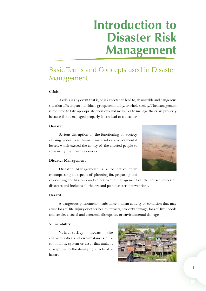# **Introduction to Disaster Risk Management**

# <span id="page-4-0"></span>Basic Terms and Concepts used in Disaster Management

## **Crisis**

A crisis is any event that is, or is expected to lead to, an unstable and dangerous situation affecting an individual, group, community, or whole society. The management is required to take appropriate decisions and measures to manage the crisis properly because if not managed properly, it can lead to a disaster.

#### **Disaster**

Serious disruption of the functioning of society, causing widespread human, material or environmental losses, which exceed the ability of the affected people to cope using their own resources.



#### **Disaster Management**

Disaster Management is a collective term encompassing all aspects of planning for, preparing and

responding to disasters and refers to the management of the consequences of disasters and includes all the pre and post disaster interventions.

### **Hazard**

A dangerous phenomenon, substance, human activity or condition that may cause loss of life, injury or other health impacts, property damage, loss of livelihoods and services, social and economic disruption, or environmental damage.

#### **Vulnerability**

Vulnerability means the characteristics and circumstances of a community, system or asset that make it susceptible to the damaging effects of a hazard.

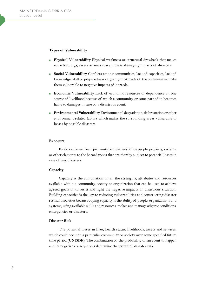### **Types of Vulnerability**

- **Physical Vulnerability** Physical weakness or structural drawback that makes some buildings, assets or areas susceptible to damaging impacts of disasters.
- **Social Vulnerability** Conflicts among communities, lack of capacities, lack of  $\overline{\phantom{a}}$ knowledge, skill or preparedness or giving in attitude of the communities make them vulnerable to negative impacts of hazards.
- **Economic Vulnerability** Lack of economic resources or dependence on one  $\mathbf{r}$ source of livelihood because of which a community, or some part of it, becomes liable to damages in case of a disastrous event.
- **Environmental Vulnerability** Environmental degradation, deforestation or other  $\overline{\phantom{a}}$ environment related factors which makes the surrounding areas vulnerable to losses by possible disasters.

#### **Exposure**

By exposure we mean, proximity or closeness of the people, property, systems, or other elements to the hazard zones that are thereby subject to potential losses in case of any disasters.

#### **Capacity**

Capacity is the combination of all the strengths, attributes and resources available within a community, society or organization that can be used to achieve agreed goals or to resist and fight the negative impacts of disastrous situation. Building capacities is the key to reducing vulnerabilities and constructing disaster resilient societies because coping capacity is the ability of people, organizations and systems, using available skills and resources, to face and manage adverse conditions, emergencies or disasters.

#### **Disaster Risk**

The potential losses in lives, health status, livelihoods, assets and services, which could occur to a particular community or society over some specified future time period (UNISDR). The combination of the probability of an event to happen and its negative consequences determine the extent of disaster risk.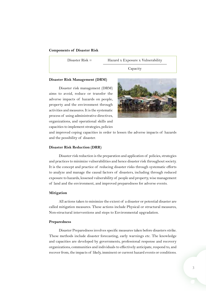#### **Components of Disaster Risk**

Disaster Risk = Hazard x Exposure x Vulnerability

Capacity

#### **Disaster Risk Management (DRM)**

Disaster risk management (DRM) aims to avoid, reduce or transfer the adverse impacts of hazards on people, property and the environment through activities and measures. It is the systematic process of using administrative directives, organizations, and operational skills and capacities to implement strategies, policies



and improved coping capacities in order to lessen the adverse impacts of hazards and the possibility of disaster.

#### **Disaster Risk Reduction (DRR)**

Disaster risk reduction is the preparation and application of policies, strategies and practices to minimize vulnerabilities and hence disaster risk throughout society. It is the concept and practice of reducing disaster risks through systematic efforts to analyze and manage the causal factors of disasters, including through reduced exposure to hazards, lessened vulnerability of people and property, wise management of land and the environment, and improved preparedness for adverse events.

#### **Mitigation**

All actions taken to minimize the extent of a disaster or potential disaster are called mitigation measures. These actions include Physical or structural measures, Non-structural interventions and steps to Environmental upgradation.

#### **Preparedness**

Disaster Preparedness involves specific measures taken before disasters strike. These methods include disaster forecasting, early warnings etc. The knowledge and capacities are developed by governments, professional response and recovery organizations, communities and individuals to effectively anticipate, respond to, and recover from, the impacts of likely, imminent or current hazard events or conditions.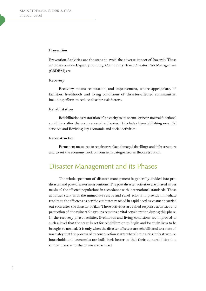#### <span id="page-7-0"></span>**Prevention**

Prevention Activities are the steps to avoid the adverse impact of hazards. These activities contain Capacity Building, Community Based Disaster Risk Management (CBDRM) etc.

#### **Recovery**

Recovery means restoration, and improvement, where appropriate, of facilities, livelihoods and living conditions of disaster-affected communities, including efforts to reduce disaster risk factors.

## **Rehabilitation**

Rehabilitation is restoration of an entity to its normal or near-normal functional conditions after the occurrence of a disaster. It includes Re-establishing essential services and Reviving key economic and social activities.

#### **Reconstruction**

Permanent measures to repair or replace damaged dwellings and infrastructure and to set the economy back on course, is categorized as Reconstruction.

# Disaster Management and its Phases

The whole spectrum of disaster management is generally divided into predisaster and post-disaster interventions. The post disaster activities are phased as per needs of the affected populations in accordance with international standards. These activities start with the immediate rescue and relief efforts to provide immediate respite to the affectees as per the estimates reached in rapid need assessment carried out soon after the disaster strikes. These activities are called response activities and protection of the vulnerable groups remains a vital consideration during this phase. In the recovery phase facilities, livelihoods and living conditions are improved to such a level that the stage is set for rehabilitation to begin and for their lives to be brought to normal. It is only when the disaster affectees are rehabilitated to a state of normalcy that the process of reconstruction starts wherein the cities, infrastructure, households and economies are built back better so that their vulnerabilities to a similar disaster in the future are reduced.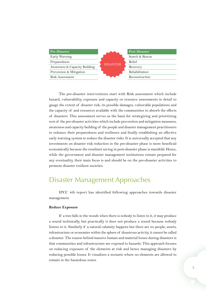<span id="page-8-0"></span>

| <b>Pre Disaster</b>           |                 | <b>Post Disaster</b> |  |  |  |
|-------------------------------|-----------------|----------------------|--|--|--|
| Early Warning                 |                 | Search & Rescue      |  |  |  |
| Preparedness                  |                 | Relief               |  |  |  |
| Awareness & Capacity Building | <b>DISASTER</b> | Recovery             |  |  |  |
| Prevention & Mitigation       |                 | Rehabilitation       |  |  |  |
| Risk Assessment               |                 | Reconstruction       |  |  |  |

The pre-disaster interventions start with Risk assessment which include hazard, vulnerability, exposure and capacity or resource assessments in detail to gauge the extent of disaster risk, its possible damages, vulnerable populations and the capacity of and resources available with the communities to absorb the effects of disasters. This assessment serves as the basis for strategizing and prioritizing rest of the pre-disaster activities which include prevention and mitigation measures, awareness and capacity building of the people and disaster management practitioners to enhance their preparedness and resilience and finally establishing an effective early warning system to reduce the disaster risks. It is universally accepted that any investments on disaster risk reduction in the pre-disaster phase is more beneficial economically because the resultant saving in post-disaster phase is manifold. Hence, while the government and disaster management institutions remain prepared for any eventuality, their main focus is and should be on the pre-disaster activities to promote disaster resilient societies.

## Disaster Management Approaches

IPCC 4th report has identified following approaches towards disaster management.

#### **Reduce Exposure**

If a tree falls in the woods when there is nobody to listen to it, it may produce a sound technically, but practically it does not produce a sound because nobody listens to it. Similarly if a natural calamity happens but there are no people, assets, infrastructure or economies within the sphere of disastrous activity, it cannot be called a disaster. The reason behind massive human and material losses during disasters is that communities and infrastructure are exposed to hazards. This approach focuses on reducing exposure of the elements at risk and hence managing disasters by reducing possible losses. It visualizes a scenario where no elements are allowed to remain in the hazardous zones.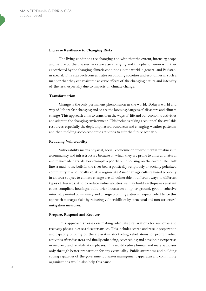#### **Increase Resilience to Changing Risks**

The living conditions are changing and with that the extent, intensity, scope and nature of the disaster risks are also changing and this phenomenon is further exacerbated by the changing climatic conditions in the world in general and Pakistan, in special. This approach concentrates on building societies and economies in such a manner that they can resist the adverse effects of the changing nature and intensity of the risk, especially due to impacts of climate change.

#### **Transformation**

Change is the only permanent phenomenon in the world. Today's world and way of life are fast changing and so are the looming dangers of disasters and climate change. This approach aims to transform the ways of life and our economic activities and adapt to the changing environment. This includes taking account of the available resources, especially the depleting natural resources and changing weather patterns, and then molding socio-economic activities to suit the future scenario.

#### **Reducing Vulnerability**

Vulnerability means physical, social, economic or environmental weakness in a community and infrastructure because of which they are prone to different natural and man-made hazards. For example a poorly built housing on the earthquake fault line, a mud house built in the river bed, a politically, religiously or socially polarized community in a politically volatile region like Asia or an agriculture based economy in an area subject to climate change are all vulnerable in different ways to different types of hazards. And to reduce vulnerabilities we may build earthquake resistant codes compliant housings, build brick houses on a higher ground, groom cohesive internally united community and change cropping pattern, respectively. Hence this approach manages risks by reducing vulnerabilities by structural and non-structural mitigation measures.

#### **Prepare, Respond and Recover**

This approach stresses on making adequate preparations for response and recovery phases in case a disaster strikes. This includes search and rescue preparation and capacity building of the apparatus, stockpiling relief items for prompt relief activities after disasters and finally enhancing, researching and developing expertise in recovery and rehabilitation phases. This would reduce human and material losses only through better preparation for any eventuality. Public awareness and building coping capacities of the government disaster management apparatus and community organizations would also help this cause.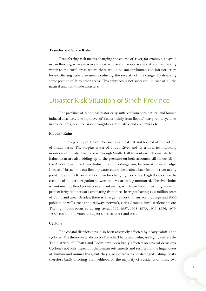#### <span id="page-10-0"></span>**Transfer and Share Risks**

Transferring risk means changing the course of river, for example, to avoid urban flooding where massive infrastructure and people are at risk and redirecting water to the rural areas where there would be smaller human and infrastructure losses. Sharing risks also means reducing the severity of the danger by diverting some portion of it to other areas. This approach is not successful in case of all the natural and man-made disasters.

## Disaster Risk Situation of Sindh Province

The province of Sindh has historically suffered from both natural and human induced disasters. The high level of risk is mainly from floods/ heavy rains, cyclones in coastal area, sea intrusion, droughts, earthquakes, and epidemics etc.

#### **Floods/ Rains**

The topography of Sindh Province is almost flat and located at the bottom of Indus basin. The surplus water of Indus River and its tributaries including monsoon rain water has to pass through Sindh. Hill torrents which emanate from Baluchistan are also adding up to the pressure on both accounts, till its outfall in the Arabian Sea. The River Indus in Sindh is dangerous, because it flows at ridge. In case of breach the out flowing water cannot be drained back into the river at any point. The Indus River is also known for changing its course. High floods since the creation of modern irrigation network in 1932 are being monitored. The river Indus is contained by flood protection embankments, which are 1400 miles long, so as, to protect irrigation network emanating from three barrages having 12.8 million acres of command area. Besides, there is a large network of surface drainage and 6000 public tube wells, roads and railways network, cities / towns, rural settlements etc. The high floods occurred during 1942, 1956, 1957, 1958, 1973, 1975, 1976, 1979, 1992, 1994, 1995, 2003, 2005, 2007, 2010, 2011 and 2012.

#### **Cyclone**

The coastal districts have also been adversely affected by heavy rainfall and cyclones. The three coastal districts - Karachi, Thatta and Badin, are highly vulnerable. The districts of Thatta and Badin have been badly affected on several occasions. Cyclones not only wiped out the human settlements and resulted in the huge losses of human and animal lives, but they also destroyed and damaged fishing boats, therefore badly affecting the livelihood of the majority of residents of these two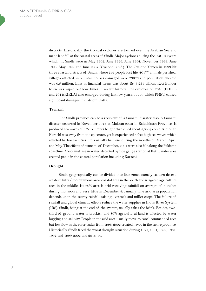districts. Historically, the tropical cyclones are formed over the Arabian Sea and made landfall at the coastal areas of Sindh. Major cyclones during the last 100 years which hit Sindh were in May 1902, June 1926, June 1964, November 1993, June 1998, May 1999 and June 2007 (Cyclone– 02A). The Cyclone Yemen in 1999 hit three coastal districts of Sindh, where 244 people lost life, 40177 animals perished, villages affected were 1449, houses damaged were 29873 and population affected was 0.5 million. Loss in financial terms was about Rs. 3.231 billion. Keti Bunder town was wiped out four times in recent history. The cyclones of 2010 (PHET) and 2011(KIELA) also emerged during last few years, out of which PHET caused significant damages in district Thatta.

#### **Tsunami**

The Sindh province can be a recipient of a tsunami disaster also. A tsunami disaster occurred in November 1945 at Makran coast in Baluchistan Province. It produced sea waves of 12-15 meters height that killed about 4,000 people. Although Karachi was away from the epicenter, yet it experienced 6 feet high sea waves which affected harbor facilities. This usually happens during the months of March, April and May. The effects of tsunami of December, 2004 were also felt along the Pakistan coastline. Abnormal rise in water, detected by tide gauge station at Keti Bander area created panic in the coastal population including Karachi.

#### **Drought**

Sindh geographically can be divided into four zones namely eastern desert, western hilly / mountainous area, coastal area in the south and irrigated agriculture area in the middle. Its 60% area is arid receiving rainfall on average of 5 inches during monsoon and very little in December & January. The arid area population depends upon the scanty rainfall raising livestock and millet crops. The failure of rainfall and global climatic effects reduce the water supplies in Indus River System (IRS). Sindh, being at the end of the system, usually takes the brink. Besides, twothird of ground water is brackish and 80% agricultural land is affected by water logging and salinity. People in the arid area usually move to canal commanded area but low flow in the river Indus from 1998-2002 created havoc in the entire province. Historically, Sindh faced the worst drought situation during 1871, 1881, 1899, 1931, 1942 and 1999-2002 and 2013-14.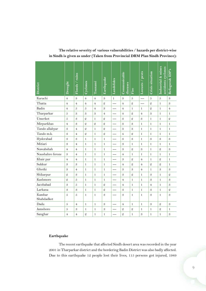| District             | Drought          | Floods / rains | <b>Cyclones</b> | Tsunami        | Earthquake                 | Landslides   | Communicable<br>diseases   | Fire           | Locusts / pests            | Crisis situation           | Industrial & mines<br>accidents cyclones | Refugees& IDP's            |
|----------------------|------------------|----------------|-----------------|----------------|----------------------------|--------------|----------------------------|----------------|----------------------------|----------------------------|------------------------------------------|----------------------------|
| Karachi              | $\overline{4}$   | 3              | $\overline{4}$  | $\overline{4}$ | $\mathfrak{B}$             | $\mathbf{1}$ | 3                          | 5              | ---                        | 5                          | $\boldsymbol{5}$                         | 3                          |
| Thatta               | $\overline{4}$   | $\overline{4}$ | $\overline{4}$  | $\overline{4}$ | $\mathfrak{D}$             |              | $\overline{4}$             | $\mathfrak{D}$ |                            | $\mathcal{Q}$              | $\mathbf{1}$                             | 3                          |
| Badin                | $\overline{4}$   | $\overline{5}$ | $\overline{5}$  | $\overline{4}$ | $\mathfrak{B}$             | ---          | $\overline{4}$             | 1              | $\mathbf{1}$               | $\mathcal{Q}$              | $\mathbf{1}$                             | $\overline{4}$             |
| Tharparkar           | $\boldsymbol{5}$ | 3              | 3               | 3              | $\overline{4}$             |              | $\overline{4}$             | $\mathfrak{D}$ | $\overline{4}$             | $\boldsymbol{\mathcal{S}}$ | $\mathbf{1}$                             | $\mathbf{1}$               |
| Umerkot              | $\boldsymbol{5}$ | $\mathfrak{B}$ | $\mathfrak{D}$  | 1              | $\mathfrak{D}$             |              | $\boldsymbol{\mathcal{S}}$ | $\mathfrak{D}$ | $\boldsymbol{\mathcal{S}}$ | $\mathbf{1}$               | $\mathbf{1}$                             | $\mathfrak{D}$             |
| Mirpurkhas           | $\overline{4}$   | 3              | $\mathfrak{D}$  | $\mathfrak{D}$ | $\mathfrak{D}$             |              | 3                          | $\mathfrak{B}$ | $\mathbf{1}$               | $\mathbf{1}$               | $\mathbf{1}$                             | $\mathbf{1}$               |
| Tando allahyar       | 3                | $\overline{4}$ | $\mathcal{Q}$   | 1              | $\mathfrak{D}$             |              | 3                          | 3              | $\mathbf{1}$               | $\mathbf{1}$               | $\mathbf{1}$                             | $\mathbf{1}$               |
| Tando m.k.           | $\mathfrak{B}$   | $\overline{4}$ | $\mathcal{Q}$   | 1              | $\mathcal Q$               |              | $\overline{4}$             | $\mathfrak{D}$ | 1                          | $\mathbf{1}$               | $\mathbf{1}$                             | $\mathbf{1}$               |
| Hyderabad            | $\mathfrak{B}$   | 3              | 1               | 1              | $\mathbf{1}$               |              | 3                          | 3              | 1                          | 3                          | 3                                        | 3                          |
| Mitiari              | $\mathfrak{B}$   | $\overline{4}$ | 1               | 1              | $\mathbf{1}$               |              | $\boldsymbol{\mathcal{S}}$ | 1              | 1                          | $\mathbf{1}$               | $\mathbf{1}$                             | $\mathbf{1}$               |
| Nawabshah            | $\overline{4}$   | $\overline{4}$ | 1               | 1              | $\mathbf{1}$               |              | $\boldsymbol{\mathcal{S}}$ | $\mathfrak{D}$ | 3                          | $\mathbf{1}$               | $\mathbf 2$                              | 3                          |
| Naushahro feroze     | $\mathfrak{B}$   | $\overline{4}$ | 1               | 1              | $\mathbf{1}$               | ---          | $\overline{4}$             | 1              | 1                          | $\mathbf{1}$               | $\mathbf{1}$                             | $\mathbf{1}$               |
| Khair pur            | $\overline{4}$   | $\overline{4}$ | 1               | 1              | $\mathbf{1}$               |              | 3                          | $\mathcal{Q}$  | $\overline{4}$             | $\mathbf{1}$               | $\mathfrak{D}$                           | $\mathbf{1}$               |
| Sukkur               | $\mathfrak{B}$   | 3              | $\mathbf{1}$    | 1              | $\mathbf{1}$               | ---          | $\overline{4}$             | $\mathcal{Q}$  | $\overline{4}$             | $\mathfrak{D}$             | $\mathfrak{D}$                           | 1                          |
| Ghotki               | $\mathfrak{B}$   | $\overline{4}$ | $\mathbf{1}$    | $\mathbf{1}$   | $\mathbf{1}$               |              | $\boldsymbol{\mathcal{S}}$ | $\mathfrak{B}$ | $\overline{4}$             | $\mathbf{1}$               | $\boldsymbol{\mathcal{S}}$               | $\boldsymbol{\mathcal{S}}$ |
| Shikarpur            | $\mathfrak{D}$   | 3              | 1               | 1              | $\mathbf{1}$               |              | $\mathfrak{B}$             | $\mathfrak{D}$ | $\mathbf{1}$               | $\mathfrak{B}$             | $\mathbf{1}$                             | $\mathcal{Q}$              |
| Kashmore             | $\mathfrak{D}$   | 5              | 1               | 1              | $\mathbf{1}$               |              | $\overline{4}$             | $\mathbf{1}$   | 1                          | $\mathfrak{B}$             | $\mathbf{1}$                             | 3                          |
| Jacobabad            | $\mathfrak{B}$   | 5              | 1               | 1              | $\mathcal Q$               |              | $\overline{4}$             | $\mathbf{1}$   | 1                          | 4                          | $\mathbf{1}$                             | 3                          |
| Larkana              | $\mathfrak{B}$   | 3              | 1               | 1              | $\mathcal Q$               |              | $\boldsymbol{\mathcal{S}}$ | $\mathbf{1}$   | 1                          | 3                          | $\mathbf{1}$                             | $\mathcal{Q}$              |
| Kambar<br>Shahdadkot | $\boldsymbol{5}$ | $\overline{5}$ | 1               | $\mathbf{1}$   | $\boldsymbol{\mathcal{S}}$ |              | $\boldsymbol{\mathcal{S}}$ | 1              | 1                          | 3                          | 1                                        | $\boldsymbol{\mathcal{S}}$ |
| Dadu                 | $\boldsymbol{5}$ | $\overline{4}$ | $\mathbf{1}$    | $\mathbf{1}$   | $\boldsymbol{\mathcal{S}}$ |              | $\overline{4}$             | $\mathbf{1}$   | $\mathbf{1}$               | $\mathfrak{B}$             | $\mathfrak{D}$                           | 3                          |
| Jamshoro             | $\boldsymbol{5}$ | 3              | 1               | 1              | 3                          |              | $\mathfrak{D}$             | $\mathfrak{D}$ | $\mathbf{1}$               | $\mathbf{1}$               | $\mathfrak{D}$                           | $\mathbf{1}$               |
| Sanghar              | $\overline{4}$   | $\overline{4}$ | $\mathfrak{D}$  | 1              | 1                          |              | $\mathfrak{D}$             | 1              | $\boldsymbol{\mathcal{S}}$ | 1                          | $\mathbf{1}$                             | $\boldsymbol{\mathcal{S}}$ |

## **The relative severity of various vulnerabilities / hazards per district-wise in Sindh is given as under (Taken from Provincial DRM Plan Sindh Province):**

### **Earthquake**

The recent earthquake that affected Sindh desert area was recorded in the year 2001 in Tharparkar district and the bordering Badin District was also badly affected. Due to this earthquake 12 people lost their lives, 115 persons got injured, 1989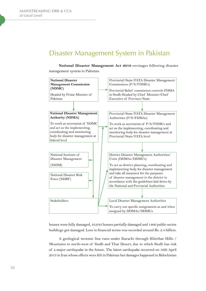## Disaster Management System in Pakistan

**National Disaster Management Act 2010** envisages following disaster management system in Pakistan:



houses were fully damaged, 43,643 houses partially damaged and 1406 public sector buildings got damaged. Loss in financial terms was recorded around Rs. 2.4 billion.

A geological tectonic line runs under Karachi through Khirthar Hills / Mountains to north-west of Sindh and Thar Desert, due to which Sindh has risk of a major earthquake in the future. The latest earthquake occurred on 16th April 2013 in Iran whose effects were felt in Pakistan but damages happened in Balochistan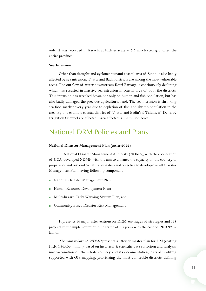<span id="page-14-0"></span>only. It was recorded in Karachi at Richter scale at 5.5 which strongly jolted the entire province.

#### **Sea Intrusion**

Other than drought and cyclone/tsunami coastal area of Sindh is also badly affected by sea intrusion. Thatta and Badin districts are among the most vulnerable areas. The out flow of water downstream Kotri Barrage is continuously declining which has resulted in massive sea intrusion in coastal area of both the districts. This intrusion has wreaked havoc not only on human and fish population, but has also badly damaged the precious agricultural land. The sea intrusion is shrinking sea food market every year due to depletion of fish and shrimp population in the area. By one estimate coastal district of Thatta and Badin's 9 Taluka, 87 Dehs, 47 Irrigation Channel are affected. Area affected is 1.2 million acres.

## National DRM Policies and Plans

#### **National Disaster Management Plan (2012-2022)**

National Disaster Management Authority (NDMA), with the cooperation of JICA, developed NDMP with the aim to enhance the capacity of the country to prepare for and respond to natural disasters and objective to develop overall Disaster Management Plan having following component:

- National Disaster Management Plan;
- Human Resource Development Plan;
- Multi-hazard Early Warning System Plan; and
- Community Based Disaster Risk Management

It presents 10 major interventions for DRM, envisages 41 strategies and 118 projects in the implementation time frame of 10 years with the cost of PKR 92.02 Billion.

*The main volume of NDMP* presents a 10-year master plan for DM (costing PKR 6,843.04 million), based on historical & scientific data collection and analysis, macro-zonation of the whole country and its documentation, hazard profiling supported with GIS mapping, prioritizing the most vulnerable districts, defining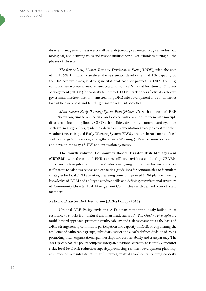<span id="page-15-0"></span>disaster management measures for all hazards (Geological, meteorological, industrial, biological) and defining roles and responsibilities for all stakeholders during all the phases of disaster.

*The first volume, Human Resource Development Plan* (*HRDP*), with the cost of PKR 568.4 million, visualizes the systematic development of HR capacity of the DM System through strong institutional base for promoting DRM training, education, awareness & research and establishment of National Institute for Disaster Management (NIDM) for capacity building of DRM practitioners/officials, relevant government institutions for mainstreaming DRR into development and communities for public awareness and building disaster resilient societies.

*Multi-hazard Early Warning System Plan* (*Volume–II*), with the cost of PKR 1,666.34 million, aims to reduce risks and societal vulnerabilities to them with multiple disasters – including floods, GLOFs, landslides, droughts, tsunamis and cyclones with storm surges, fires, epidemics, defines implementation strategies to strengthen weather forecasting and Early Warning System (EWS), prepare hazard maps at local scale for targeted locations, strengthen Early Warning (EW) dissemination system and develop capacity of EW and evacuation systems.

**The fourth volume**, **Community Based Disaster Risk Management** (**CBDRM**), with the cost of PKR 123.73 million, envisions conducting CBDRM activities in five pilot communities' sites, designing guidelines for instructors/ facilitators to raise awareness and capacities, guidelines for communities to formulate strategies for local DRM activities, preparing community-based DRM plans, enhancing knowledge of DRM and ability to conduct drills and defining organizational structure of Community Disaster Risk Management Committees with defined roles of staff members.

#### **National Disaster Risk Reduction (DRR) Policy (2013)**

National DRR Policy envisions "A Pakistan that continuously builds up its resilience to shocks from natural and man-made hazards". The *Guiding Principles* are multi-hazard approach, promoting vulnerability and risk assessments as the basis of DRR, strengthening community participation and capacity in DRR, strengthening the resilience of vulnerable groups, subsidiary/strict and clearly defined division of roles, promoting inter-organizational partnerships and accountability and transparency. The *Key Objectives* of the policy comprise integrated national capacity to identify & monitor risks, local level risk reduction capacity, promoting resilient development planning, resilience of key infrastructure and lifelines, multi-hazard early warning capacity,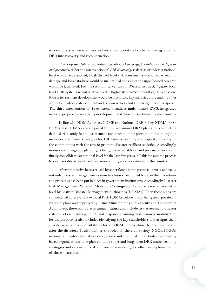national disaster preparedness and response capacity ad systematic integration of DRR into recovery and reconstruction.

The proposed *policy interventions include risk knowledge, prevention and mitigation and preparedness*. For the intervention of *Risk Knowledge* risk atlas or index at national level would be developed, local/district level risk assessments would be carried out, damage and loss data-base would be maintained and climate change focused research would be facilitated. For the second intervention of *Prevention and Mitigation*, local level DRR systems would be developed in high-risk areas/communities, risk conscious & disaster resilient development would be promoted, key-infrastructure and life-lines would be made disaster resilient and risk awareness and knowledge would be spread. The third intervention of *Preparedness* visualizes multi-hazard EWS, integrated national preparedness capacity development and disaster risk financing mechanisms.

In line with NDM Act 2010, NDMP and National DRR Policy, NDMA, P/S/ FDMA and DDMAs are supposed to prepare annual DRM plan after conducting detailed risk analysis and assessment and streamlining prevention and mitigation measures and frame strategies for DRR mainstreaming and capacity building of the communities with the aim to promote disaster resilient societies. Accordingly, monsoon contingency planning is being prepared at local and provincial levels and finally consolidated at national level for the last few years in Pakistan and the process has remarkably streamlined monsoon contingency procedures in the country.

After the massive losses caused by super floods in the years 2010, 2011 and 2012, not only disaster management system has been streamlined but also the procedures and processes has been put in place in government institutions. Accordingly Disaster Risk Management Plans and Monsoon Contingency Plans are prepared at district level by District Disaster Management Authorities (DDMAs). Then these plans are consolidated at relevant provincial P/S/FDMAs before finally being incorporated in National plans and approved by Prime Minister, the chief executive of the country. At all levels, these plans are an annual feature and include risk assessment, disaster risk reduction planning, relief and response planning and resource mobilization for the purpose. It also includes identifying the key stakeholders and assigns them specific roles and responsibilities for all DRM interventions before, during and after the disasters. It also defines the roles of the civil society, NGOs, INGOs, national and international donor agencies and the most importantly, community based organizations. The plan contains short and long term DRR mainstreaming strategies and carries out risk and resource mapping for effective implementation of these strategies.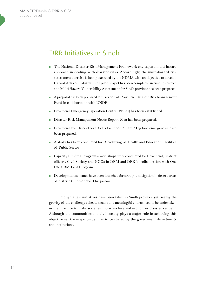## <span id="page-17-0"></span>DRR Initiatives in Sindh

- The National Disaster Risk Management Framework envisages a multi-hazard approach in dealing with disaster risks. Accordingly, the multi-hazard risk assessment exercise is being executed by the NDMA with an objective to develop Hazard Atlas of Pakistan. The pilot project has been completed in Sindh province and Multi Hazard Vulnerability Assessment for Sindh province has been prepared.
- A proposal has been prepared for Creation of Provincial Disaster Risk Management Fund in collaboration with UNDP.
- Provincial Emergency Operation Centre (PEOC) has been established.
- Disaster Risk Management Needs Report 2012 has been prepared.
- Provincial and District level SoPs for Flood / Rain / Cyclone emergencies have been prepared.
- A study has been conducted for Retrofitting of Health and Education Facilities of Public Sector
- Capacity Building Programs/workshops were conducted for Provincial, District officers, Civil Society and NGOs in DRM and DRR in collaboration with One UN DRM Joint Program.
- Development schemes have been launched for drought mitigation in desert areas of district Umerkot and Tharparkar.

Though a few initiatives have been taken in Sindh province yet, seeing the gravity of the challenges ahead, sizable and meaningful efforts need to be undertaken in the province to make societies, infrastructure and economies disaster resilient. Although the communities and civil society plays a major role in achieving this objective yet the major burden has to be shared by the government departments and institutions.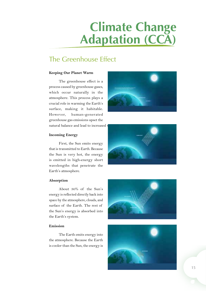# **Climate Change Adaptation (CCA)**

# The Greenhouse Effect

## **Keeping Our Planet Warm**

The greenhouse effect is a process caused by greenhouse gases, which occur naturally in the atmosphere. This process plays a crucial role in warming the Earth's surface, making it habitable. However, human-generated greenhouse gas emissions upset the natural balance and lead to increased



## **Incoming Energy**

First, the Sun emits energy that is transmitted to Earth. Because the Sun is very hot, the energy is emitted in high-energy short wavelengths that penetrate the Earth's atmosphere.



#### **Absorption**

About 30% of the Sun's energy is reflected directly back into space by the atmosphere, clouds, and surface of the Earth. The rest of the Sun's energy is absorbed into the Earth's system.

## **Emission**

The Earth emits energy into the atmosphere. Because the Earth is cooler than the Sun, the energy is



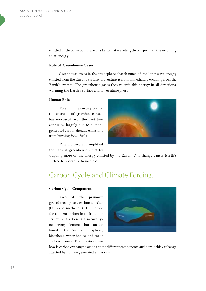<span id="page-19-0"></span>emitted in the form of infrared radiation, at wavelengths longer than the incoming solar energy.

#### **Role of Greenhouse Gases**

Greenhouse gases in the atmosphere absorb much of the long-wave energy emitted from the Earth's surface, preventing it from immediately escaping from the Earth's system. The greenhouse gases then re-emit this energy in all directions, warming the Earth's surface and lower atmosphere

#### **Human Role**

The atmospheric concentration of greenhouse gases has increased over the past two centuries, largely due to humangenerated carbon dioxide emissions from burning fossil fuels.



This increase has amplified the natural greenhouse effect by

trapping more of the energy emitted by the Earth. This change causes Earth's surface temperature to increase.

# Carbon Cycle and Climate Forcing.

#### **Carbon Cycle Components**

Two of the primary greenhouse gases, carbon dioxide  $({\rm CO}_2)$  and methane  $({\rm CH}_4)$ , include the element carbon in their atomic structure. Carbon is a naturallyoccurring element that can be found in the Earth's atmosphere, biosphere, water bodies, and rocks and sediments. The questions are



how is carbon exchanged among these different components and how is this exchange affected by human-generated emissions?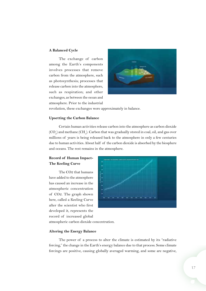#### <span id="page-20-0"></span>**A Balanced Cycle**

The exchange of carbon among the Earth's components involves processes that remove carbon from the atmosphere, such as photosynthesis; processes that release carbon into the atmosphere, such as respiration; and other exchanges, as between the ocean and atmosphere. Prior to the industrial



revolution, these exchanges were approximately in balance.

#### **Upsetting the Carbon Balance**

Certain human activities release carbon into the atmosphere as carbon dioxide  ${\rm (CO}_\varrho)$  and methane (CH<sub>4</sub>). Carbon that was gradually stored in coal, oil, and gas over millions of years is being released back to the atmosphere in only a few centuries due to human activities. About half of the carbon dioxide is absorbed by the biosphere and oceans. The rest remains in the atmosphere.

## **Record of Human Impact-The Keeling Curve**

The CO2 that humans have added to the atmosphere has caused an increase in the atmospheric concentration of CO2. The graph shown here, called a Keeling Curve after the scientist who first developed it, represents the record of increased global



atmospheric carbon dioxide concentration.

#### **Altering the Energy Balance**

The power of a process to alter the climate is estimated by its "radiative forcing," the change in the Earth's energy balance due to that process. Some climate forcings are positive, causing globally averaged warming, and some are negative,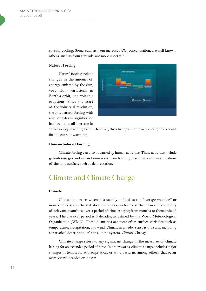causing cooling. Some, such as from increased  $\mathrm{CO}_\mathrm{2}$  concentration, are well known; others, such as from aerosols, are more uncertain.

#### **Natural Forcing**

Natural forcing include changes in the amount of energy emitted by the Sun, very slow variations in Earth's orbit, and volcanic eruptions. Since the start of the industrial revolution, the only natural forcing with any long-term significance has been a small increase in



solar energy reaching Earth. However, this change is not nearly enough to account for the current warming.

#### **Human-Induced Forcing**

Climate forcing can also be caused by human activities. These activities include greenhouse gas and aerosol emissions from burning fossil fuels and modifications of the land surface, such as deforestation.

## Climate and Climate Change

#### **Climate**

Climate in a narrow sense is usually defined as the "average weather," or more rigorously, as the statistical description in terms of the mean and variability of relevant quantities over a period of time ranging from months to thousands of years. The classical period is 3 decades, as defined by the World Meteorological Organization (WMO). These quantities are most often surface variables such as temperature, precipitation, and wind. Climate in a wider sense is the state, including a statistical description, of the climate system. Climate Change

Climate change refers to any significant change in the measures of climate lasting for an extended period of time. In other words, climate change includes major changes in temperature, precipitation, or wind patterns, among others, that occur over several decades or longer.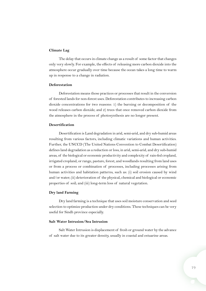#### <span id="page-22-0"></span>**Climate Lag**

The delay that occurs in climate change as a result of some factor that changes only very slowly. For example, the effects of releasing more carbon dioxide into the atmosphere occur gradually over time because the ocean takes a long time to warm up in response to a change in radiation.

#### **Deforestation**

Deforestation means those practices or processes that result in the conversion of forested lands for non-forest uses. Deforestation contributes to increasing carbon dioxide concentrations for two reasons: 1) the burning or decomposition of the wood releases carbon dioxide; and 2) trees that once removed carbon dioxide from the atmosphere in the process of photosynthesis are no longer present.

#### **Desertification**

Desertification is Land degradation in arid, semi-arid, and dry sub-humid areas resulting from various factors, including climatic variations and human activities. Further, the UNCCD (The United Nations Convention to Combat Desertification) defines land degradation as a reduction or loss, in arid, semi-arid, and dry sub-humid areas, of the biological or economic productivity and complexity of rain-fed cropland, irrigated cropland, or range, pasture, forest, and woodlands resulting from land uses or from a process or combination of processes, including processes arising from human activities and habitation patterns, such as: (i) soil erosion caused by wind and/or water; (ii) deterioration of the physical, chemical and biological or economic properties of soil; and (iii) long-term loss of natural vegetation.

#### **Dry land Farming**

Dry land farming is a technique that uses soil moisture conservation and seed selection to optimize production under dry conditions. These techniques can be very useful for Sindh province especially.

#### **Salt Water Intrusion/Sea Intrusion**

Salt Water Intrusion is displacement of fresh or ground water by the advance of salt water due to its greater density, usually in coastal and estuarine areas.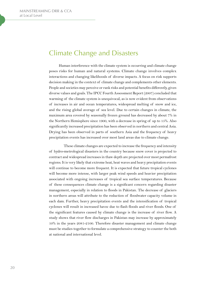## Climate Change and Disasters

Human interference with the climate system is occurring and climate change poses risks for human and natural systems. Climate change involves complex interactions and changing likelihoods of diverse impacts. A focus on risk supports decision making in the context of climate change and complements other elements. People and societies may perceive or rank risks and potential benefits differently, given diverse values and goals. The IPCC Fourth Assessment Report (2007) concluded that warming of the climate system is unequivocal, as is now evident from observations of increases in air and ocean temperatures, widespread melting of snow and ice, and the rising global average of sea level. Due to certain changes in climate, the maximum area covered by seasonally frozen ground has decreased by about 7% in the Northern Hemisphere since 1900, with a decrease in spring of up to 15%. Also significantly increased precipitation has been observed in northern and central Asia. Drying has been observed in parts of southern Asia and the frequency of heavy precipitation events has increased over most land areas due to climate change.

These climate changes are expected to increase the frequency and intensity of hydro-metrological disasters in the country because snow cover is projected to contract and widespread increases in thaw depth are projected over most permafrost regions. It is very likely that extreme heat, heat waves and heavy precipitation events will continue to become more frequent. It is expected that future tropical cyclones will become more intense, with larger peak wind speeds and heavier precipitation associated with ongoing increases of tropical sea surface temperatures. Because of these consequences climate change is a significant concern regarding disaster management, especially in relation to floods in Pakistan. The decrease of glaciers in northern areas will attribute to the reduction of floodwater capacity volume in each dam. Further, heavy precipitation events and the intensification of tropical cyclones will result in increased havoc due to flash floods and river floods. One of the significant features caused by climate change is the increase of river flow. A study shows that river flow discharges in Pakistan may increase by approximately 10% in the years 2081-2100. Therefore disaster management and climate change must be studies together to formulate a comprehensive strategy to counter the both at national and international level.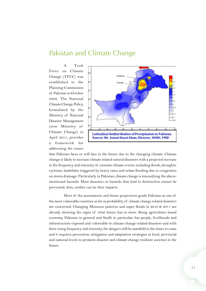## <span id="page-24-0"></span>Pakistan and Climate Change

A Task Force on Climate Change (TFCC) was established in the Planning Commission of Pakistan in October 2008. The National Climate Change Policy, formulated by the Ministry of National Disaster Management (now Ministry of Climate Change) in April 2011, provides a framework for addressing the issues



that Pakistan faces or will face in the future due to the changing climate. Climate change is likely to increase climate related natural disasters with a projected increase in the frequency and intensity of extreme climate events, including floods, droughts, cyclones, landslides triggered by heavy rains and urban flooding due to congestion on storm drainage. Particularly in Pakistan, climate change is intensifying the abovementioned hazards. Most disasters or hazards that lead to destruction cannot be prevented; thus, neither can be their impacts.

Most of the assessments and future projections grade Pakistan as one of the most vulnerable countries as far as probability of climate change related disasters are concerned. Changing Monsoon patterns and super floods in 2010 & 2011 are already showing the signs of what future has in store. Being agriculture based economy, Pakistan in general and Sindh in particular, has people, livelihoods and infrastructure exposed and vulnerable to climate change related disasters and with their rising frequency and intensity, the dangers will be manifold in the times to come and it requires prevention, mitigation and adaptation strategies at local, provincial and national levels to promote disaster and climate change resilient societies in the future.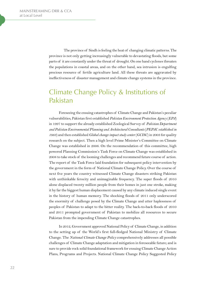<span id="page-25-0"></span>The province of Sindh is feeling the heat of changing climatic patterns. The province is not only getting increasingly vulnerable to devastating floods, but some parts of it are constantly under the threat of drought. On one hand cyclones threaten the populations in coastal areas, and on the other hand, sea intrusion is engulfing precious resource of fertile agriculture land. All these threats are aggravated by ineffectiveness of disaster management and climate change systems in the province.

# Climate Change Policy & Institutions of Pakistan

Foreseeing the ensuing catastrophes of Climate Change and Pakistan's peculiar vulnerabilities, Pakistan first established *Pakistan Environment Protection Agency* (*EPA*) in 1997 to support the already established Zoological Survey of *Pakistan Department and Pakistan Environmental Planning and Architectural Consultants* (*PEPAC established in 1983*) and then established *Global change impact study center* (*GCISC*) in 2003 for quality research on the subject. Then a high level Prime Minister's Committee on Climate Change was established in 2006. On the recommendation of this committee, high powered Planning Commission's Task Force on Climate Change was established in 2008 to take stock of the looming challenges and recommend future course of action. The report of the Task Force laid foundation for subsequent policy intervention by the government in the form of National Climate Change Policy. Over the course of next five years the country witnessed Climate Change disasters striking Pakistan with unthinkable ferocity and unimaginable frequency. The super floods of 2010 alone displaced twenty million people from their homes in just one stroke, making it by far the biggest human displacement caused by any climate induced single event in the history of human memory. The shocking floods of 2011 only underscored the enormity of challenge posed by the Climate Change and utter haplessness of peoples of Pakistan to adapt to the bitter reality. The back-to-back floods of 2010 and 2011 prompted government of Pakistan to mobilize all resources to secure Pakistan from the impending Climate Change catastrophes.

In 2012, Government approved National Policy of Climate Change, in addition to the setting up of the World's first full-fledged National Ministry of Climate Change. The *National Climate Change Policy* comprehensively addresses all possible challenges of Climate Change adaptation and mitigation in foreseeable future; and is sure to provide rock solid foundational framework for ensuing Climate Change Action Plans, Programs and Projects. National Climate Change Policy Suggested Policy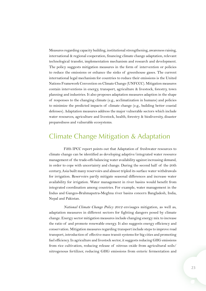<span id="page-26-0"></span>Measures regarding capacity building, institutional strengthening, awareness raising, international & regional cooperation, financing climate change adaptation, relevant technological transfer, implementation mechanism and research and development. The policy suggests mitigation measures in the form of intervention or policies to reduce the emissions or enhance the sinks of greenhouse gases. The current international legal mechanism for countries to reduce their emissions is the United Nations Framework Convention on Climate Change (UNFCCC). Mitigation measures contain interventions in energy, transport, agriculture & livestock, forestry, town planning and industries. It also proposes adaptation measures adaption in the shape of responses to the changing climate (e.g., acclimatization in humans) and policies to minimize the predicted impacts of climate change (e.g., building better coastal defenses). Adaptation measures address the major vulnerable sectors which include water resources, agriculture and livestock, health, forestry & biodiversity, disaster preparedness and vulnerable ecosystems.

## Climate Change Mitigation & Adaptation

Fifth IPCC report points out that Adaptation of freshwater resources to climate change can be identified as developing adaptive/integrated water resource management of the trade-offs balancing water availability against increasing demand, in order to cope with uncertainty and change. During the second half of the 20th century, Asia built many reservoirs and almost tripled its surface water withdrawals for irrigation. Reservoirs partly mitigate seasonal differences and increase water availability for irrigation. Water management in river basins would benefit from integrated coordination among countries. For example, water management in the Indus and Ganges-Brahmaputra-Meghna river basins concern Bangladesh, India, Nepal and Pakistan.

*National Climate Change Policy 2012* envisages mitigation, as well as, adaptation measures in different sectors for fighting dangers posed by climate change. Energy sector mitigation measures include changing energy mix to increase the ratio of and promote renewable energy. It also suggests energy efficiency and conservation. Mitigation measures regarding transport include steps to improve road transport, introduction of effective mass transit systems for big cities and promoting fuel efficiency. In agriculture and livestock sector, it suggests reducing GHG emissions from rice cultivation, reducing release of nitrous oxide from agricultural soils/ nitrogenous fertilizer, reducing GHG emissions from enteric fermentation and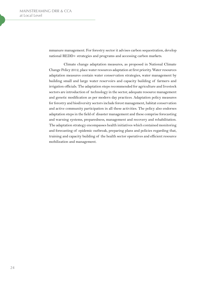<span id="page-27-0"></span>mmanure management. For forestry sector it advises carbon sequestration, develop national REDD+ strategies and programs and accessing carbon markets.

Climate change adaptation measures, as proposed in National Climate Change Policy 2012, place water resources adaptation at first priority. Water resources adaptation measures contain water conservation strategies, water management by building small and large water reservoirs and capacity building of farmers and irrigation officials. The adaptation steps recommended for agriculture and livestock sectors are introduction of technology in the sector, adequate resource management and genetic modification as per modern day practices. Adaptation policy measures for forestry and biodiversity sectors include forest management, habitat conservation and active community participation in all these activities. The policy also endorses adaptation steps in the field of disaster management and these comprise forecasting and warning systems, preparedness, management and recovery and rehabilitation. The adaptation strategy encompasses health initiatives which contained monitoring and forecasting of epidemic outbreak, preparing plans and policies regarding that, training and capacity building of the health sector operatives and efficient resource mobilization and management.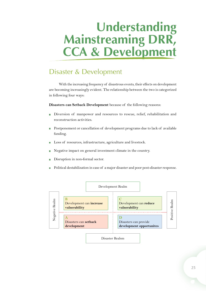# **Understanding Mainstreaming DRR, CCA & Development**

# Disaster & Development

With the increasing frequency of disastrous events, their effects on development are becoming increasingly evident. The relationship between the two is categorized in following four ways:

**Disasters can Setback Development** because of the following reasons:

- Diversion of manpower and resources to rescue, relief, rehabilitation and reconstruction activities.
- Postponement or cancellation of development programs due to lack of available × funding.
- Loss of resources, infrastructure, agriculture and livestock.
- Negative impact on general investment climate in the country.
- Disruption in non-formal sector.
- Political destabilization in case of a major disaster and poor post-disaster response.

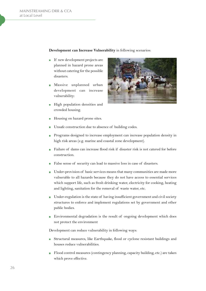#### <span id="page-29-0"></span>**Development can Increase Vulnerability** in following scenarios:

- $\blacksquare$  If new development projects are planned in hazard prone areas without catering for the possible disasters.
- **Massive unplanned urban** development can increase vulnerability:
- **High population densities and** crowded housing.



- Housing on hazard prone sites.
- Unsafe construction due to absence of building codes.
- Programs designed to increase employment can increase population density in high risk areas (e.g. marine and coastal zone development).
- Failure of dams can increase flood risk if disaster risk is not catered for before construction.
- False sense of security can lead to massive loss in case of disasters.
- Under-provision of basic services means that many communities are made more vulnerable to all hazards because they do not have access to essential services which support life, such as fresh drinking water, electricity for cooking, heating and lighting, sanitation for the removal of waste water, etc.
- Under-regulation is the state of having insufficient government and civil society structures to enforce and implement regulations set by government and other public bodies.
- Environmental degradation is the result of ongoing development which does  $\mathcal{L}_{\mathcal{A}}$ not protect the environment

Development can reduce vulnerability in following ways:

- Structural measures, like Earthquake, flood or cyclone resistant buildings and houses reduce vulnerabilities.
- Flood control measures (contingency planning, capacity building, etc.) are taken which prove effective.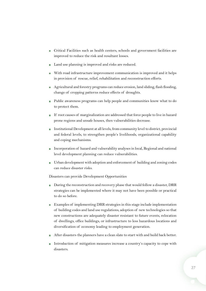- Critical Facilities such as health centers, schools and government facilities are improved to reduce the risk and resultant losses.
- Land use planning is improved and risks are reduced.
- With road infrastructure improvement communication is improved and it helps in provision of rescue, relief, rehabilitation and reconstruction efforts.
- Agricultural and forestry programs can reduce erosion, land sliding, flash flooding, change of cropping patterns reduce effects of droughts.
- Public awareness programs can help people and communities know what to do to protect them.
- If root causes of marginalization are addressed that force people to live in hazard prone regions and unsafe houses, then vulnerabilities decrease.
- Institutional Development at all levels, from community level to district, provincial and federal levels, to strengthen people's livelihoods, organizational capability and coping mechanisms.
- Incorporation of hazard and vulnerability analyses in local, Regional and national level development planning can reduce vulnerabilities.
- Urban development with adoption and enforcement of building and zoning codes can reduce disaster risks.

Disasters can provide Development Opportunities

- During the reconstruction and recovery phase that would follow a disaster, DRR strategies can be implemented where it may not have been possible or practical to do so before.
- **Examples of implementing DRR strategies in this stage include implementation** of building codes and land use regulations, adoption of new technologies so that new constructions are adequately disaster resistant to future events, relocation of dwellings, office buildings, or infrastructure to less hazardous locations and diversification of economy leading to employment generation.
- After disasters the planners have a clean slate to start with and build back better.
- Introduction of mitigation measures increase a country's capacity to cope with disasters.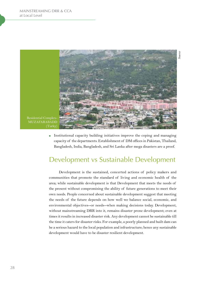

Institutional capacity building initiatives improve the coping and managing capacity of the departments. Establishment of DM offices in Pakistan, Thailand, Bangladesh, India, Bangladesh, and Sri Lanka after mega disasters are a proof.

## Development vs Sustainable Development

Development is the sustained, concerted actions of policy makers and communities that promote the standard of living and economic health of the area; while sustainable development is that Development that meets the needs of the present without compromising the ability of future generations to meet their own needs. People concerned about sustainable development suggest that meeting the needs of the future depends on how well we balance social, economic, and environmental objectives--or needs--when making decisions today. Development, without mainstreaming DRR into it, remains disaster prone development; even at times it results in increased disaster risk. Any development cannot be sustainable till the time it caters for disaster risks. For example, a poorly planned and built dam can be a serious hazard to the local population and infrastructure; hence any sustainable development would have to be disaster resilient development.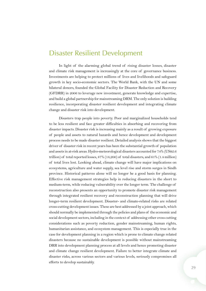## <span id="page-32-0"></span>Disaster Resilient Development

In light of the alarming global trend of rising disaster losses, disaster and climate risk management is increasingly at the core of governance business. Investments are helping to protect millions of lives and livelihoods and safeguard growth in key socio-economic sectors. The World Bank, with the UN and some bilateral donors, founded the Global Facility for Disaster Reduction and Recovery (GFDRR) in 2006 to leverage new investment, generate knowledge and expertise, and build a global partnership for mainstreaming DRM. The only solution is building resilience, incorporating disaster resilient development and integrating climate change and disaster risk into development.

Disasters trap people into poverty. Poor and marginalized households tend to be less resilient and face greater difficulties in absorbing and recovering from disaster impacts. Disaster risk is increasing mainly as a result of growing exposure of people and assets to natural hazards and hence development and development process needs to be made disaster resilient. Detailed analysis shows that the biggest driver of disaster risk in recent years has been the substantial growth of population and assets in at-risk areas. Hydro-meteorological disasters accounted for 74% (US\$2.6 trillion) of total reported losses, 87% (18,200) of total disasters, and 61% (1.4 million) of total lives lost. Looking ahead, climate change will have major implications on ecosystems, agriculture and water supply, sea level rise and storm surges in Sindh province. Historical patterns alone will no longer be a good basis for planning. Effective risk management strategies help in reducing disasters in the short to medium-term, while reducing vulnerability over the longer term. The challenge of reconstruction also presents an opportunity to promote disaster risk management through integrated resilient recovery and reconstruction planning that will drive longer-term resilient development. Disaster- and climate-related risks are related cross-cutting development issues. These are best addressed by a joint approach, which should normally be implemented through the policies and plans of the economic and social development sectors, including in the context of addressing other cross cutting considerations such as poverty reduction, gender mainstreaming, human rights, humanitarian assistance, and ecosystem management. This is especially true in the case for development planning in a region which is prone to climate change related disasters because no sustainable development is possible without mainstreaming DRR into development planning process at all levels and hence promoting disaster and climate change resilient development. Failure to better integrate climate and disaster risks, across various sectors and various levels, seriously compromises all efforts to develop sustainably.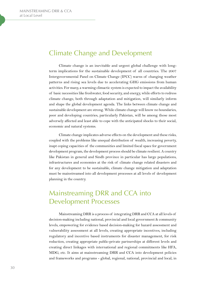## <span id="page-33-0"></span>Climate Change and Development

Climate change is an inevitable and urgent global challenge with longterm implications for the sustainable development of all countries. The 2007 Intergovernmental Panel on Climate Change (IPCC) warns of changing weather patterns and rising sea levels due to accelerating GHG emissions from human activities. For many, a warming climactic system is expected to impact the availability of basic necessities like freshwater, food security, and energy, while efforts to redress climate change, both through adaptation and mitigation, will similarly inform and shape the global development agenda. The links between climate change and sustainable development are strong. While climate change will know no boundaries, poor and developing countries, particularly Pakistan, will be among those most adversely affected and least able to cope with the anticipated shocks to their social, economic and natural systems.

Climate change implicates adverse effects on the development and these risks, coupled with the problems like unequal distribution of wealth, increasing poverty, inapt coping capacities of the communities and limited fiscal space for government development program, the development process should be climate resilient. A country like Pakistan in general and Sindh province in particular has large populations, infrastructures and economies at the risk of climate change related disasters and for any development to be sustainable, climate change mitigation and adaptation must be mainstreamed into all development processes at all levels of development planning in the country.

# Mainstreaming DRR and CCA into Development Processes

Mainstreaming DRR is a process of integrating DRR and CCA at all levels of decision-making including national, provincial and local government & community levels, empowering for evidence based decision-making for hazard assessment and vulnerability assessment at all levels, creating appropriate incentives, including regulatory and incentive based instruments for disaster management, for risk reduction, creating appropriate public-private partnerships at different levels and creating direct linkages with international and regional commitments like HFA, MDG, etc. It aims at mainstreaming DRR and CCA into development policies and frameworks and programs - global, regional, national, provincial and local, in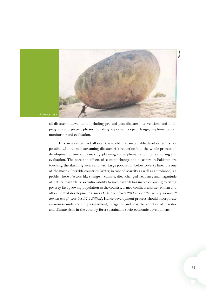<span id="page-34-0"></span>

all disaster interventions including pre and post disaster interventions and in all program and project phases including appraisal, project design, implementation, monitoring and evaluation.

It is an accepted fact all over the world that sustainable development is not possible without mainstreaming disaster risk reduction into the whole process of development; from policy making, planning and implementation to monitoring and evaluation. The pace and effects of climate change and disasters in Pakistan are touching the alarming levels and with large population below poverty line, it is one of the most vulnerable countries. Water, in case of scarcity as well as abundance, is a problem here. Factors, like change in climate, affect changed frequency and magnitude of natural hazards. Also, vulnerability to such hazards has increased owing to rising poverty, fast growing population in the country, armed conflicts and extremism and other related development issues (*Pakistan Floods 2011 caused the country an overall annual loss of over US \$ 7.5 Billion*). Hence development process should incorporate awareness, understanding, assessment, mitigation and possible reduction of disaster and climate risks in the country for a sustainable socio-economic development.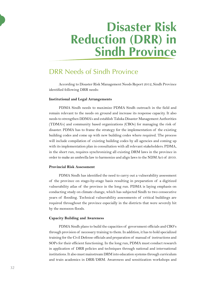# **Disaster Risk Reduction (DRR) in Sindh Province**

## DRR Needs of Sindh Province

According to Disaster Risk Management Needs Report 2012, Sindh Province identified following DRR needs:

#### **Institutional and Legal Arrangements**

PDMA Sindh needs to maximize PDMA Sindh outreach in the field and remain relevant to the needs on ground and increase its response capacity. It also needs to strengthen DDMA's and establish Taluka Disaster Management Authorities (TDMA's) and community based organizations (CBOs) for managing the risk of disaster. PDMA has to frame the strategy for the implementation of the existing building codes and come up with new building codes where required. The process will include compilation of existing building codes by all agencies and coming up with its implementation plan in consultation with all relevant stakeholders. PDMA, in the short run, requires synchronizing all existing DRM laws in the province in order to make an umbrella law to harmonize and align laws to the NDM Act of 2010.

#### **Provincial Risk Assessment**

PDMA Sindh has identified the need to carry out a vulnerability assessment of the province on stage-by-stage basis resulting in preparation of a digitized vulnerability atlas of the province in the long run. PDMA is laying emphasis on conducting study on climate change, which has subjected Sindh to two consecutive years of flooding. Technical vulnerability assessments of critical buildings are required throughout the province especially in the districts that were severely hit by the monsoon floods.

#### **Capacity Building and Awareness**

PDMA Sindh plans to build the capacities of government officials and CBO's through provision of necessary training to them. In addition, it has to hold specialized training for the Civil Defense officials and preparation of manual of instructions and SOPs for their efficient functioning. In the long run, PDMA must conduct research in application of DRR policies and techniques through national and international institutions. It also must mainstream DRM into education systems through curriculum and train academics in DRR/DRM. Awareness and sensitization workshops and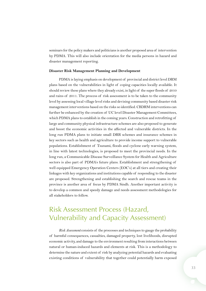<span id="page-36-0"></span>seminars for the policy makers and politicians is another proposed area of intervention by PDMA. This will also include orientation for the media persons in hazard and disaster management reporting.

#### **Disaster Risk Management Planning and Development**

PDMA is laying emphasis on development of provincial and district level DRM plans based on the vulnerabilities in light of coping capacities locally available. It should review these plans where they already exist, in light of the super floods of 2010 and rains of 2011. The process of risk assessment is to be taken to the community level by assessing local village level risks and devising community based disaster risk management interventions based on the risks so identified. CBDRM interventions can further be enhanced by the creation of UC level Disaster Management Committees, which PDMA plans to establish in the coming years. Construction and retrofitting of large and community physical infrastructure schemes are also proposed to generate and boost the economic activities in the affected and vulnerable districts. In the long run PDMA plans to initiate small DRR schemes and insurance schemes in key sectors such as health and agriculture to provide income support to vulnerable populations. Establishment of Tsunami, floods and cyclone early warning system, in line with latest technologies, is proposed to meet the provincial needs. In the long run, a Communicable Disease Surveillance System for Health and Agriculture sectors is also part of PDMA's future plans. Establishment and strengthening of well equipped Emergency Operation Centers (EOC's) at all tiers and creating their linkages with key organizations and institutions capable of responding to the disaster are proposed. Strengthening and establishing the search and rescue teams in the province is another area of focus by PDMA Sindh. Another important activity is to develop a common and speedy damage and needs assessment methodologies for all stakeholders to follow.

# Risk Assessment Process (Hazard, Vulnerability and Capacity Assessment)

*Risk Assessment* consists of the processes and techniques to gauge the probability of harmful consequences, casualties, damaged property, lost livelihoods, disrupted economic activity, and damage to the environment resulting from interactions between natural or human-induced hazards and elements at risk. This is a methodology to determine the nature and extent of risk by analyzing potential hazards and evaluating existing conditions of vulnerability that together could potentially harm exposed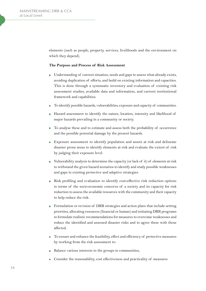<span id="page-37-0"></span>elements (such as people, property, services, livelihoods and the environment on which they depend).

#### **The Purpose and Process of Risk Assessment**

- Understanding of current situation, needs and gaps to assess what already exists, avoiding duplication of efforts, and build on existing information and capacities. This is done through a systematic inventory and evaluation of existing risk assessment studies, available data and information, and current institutional framework and capabilities.
- To identify possible hazards, vulnerabilities, exposure and capacity of communities.
- Hazard assessment to identify the nature, location, intensity and likelihood of major hazards prevailing in a community or society.
- To analyse these and to estimate and assess both the probability of occurrence and the possible potential damage by the present hazards.
- **Exposure assessment to identify population and assets at risk and delineate** disaster prone areas to identify elements at risk and evaluate the extent of risk by judging their exposure level.
- Vulnerability analysis to determine the capacity (or lack of it) of elements at risk to withstand the given hazard scenarios to identify and study possible weaknesses and gaps in existing protective and adaptive strategies.
- Risk profiling and evaluation to identify cost-effective risk reduction options in terms of the socio-economic concerns of a society and its capacity for risk reduction to assess the available resources with the community and their capacity to help reduce the risk.
- Formulation or revision of DRR strategies and action plans that include setting priorities, allocating resources (financial or human) and initiating DRR programs to formulate realistic recommendations for measures to overcome weaknesses and reduce the identified and assessed disaster risks and to agree these with those affected.
- To ensure and enhance the feasibility, effect and efficiency of protective measures by working from the risk assessment to:
- Balance various interests in the groups in communities,
- Consider the reasonability, cost effectiveness and practicality of measures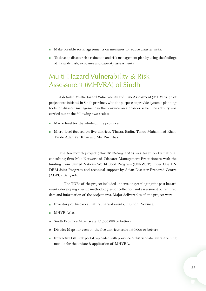- Make possible social agreements on measures to reduce disaster risks.
- To develop disaster risk reduction and risk management plan by using the findings of hazards, risk, exposure and capacity assessments.

# Multi-Hazard Vulnerability & Risk Assessment (MHVRA) of Sindh

A detailed Multi-Hazard Vulnerability and Risk Assessment (MHVRA) pilot project was initiated in Sindh province, with the purpose to provide dynamic planning tools for disaster management in the province on a broader scale. The activity was carried out at the following two scales:

- Macro level for the whole of the province.
- Micro level focused on five districts, Thatta, Badin, Tando Muhammad Khan, Tando Allah Yar Khan and Mir Pur Khas.

The ten month project (Nov 2012-Aug 2013) was taken on by national consulting firm M/s Network of Disaster Management Practitioners with the funding from United Nations World Food Program (UN-WFP) under One UN DRM Joint Program and technical support by Asian Disaster Prepared Centre (ADPC), Bangkok.

The TORs of the project included undertaking cataloging the past hazard events, developing specific methodologies for collection and assessment of required data and information of the project area. Major deliverables of the project were:

- Inventory of historical natural hazard events, in Sindh Province.
- MHVR Atlas
- o Sindh Province Atlas (scale 1:1,000,000 or better)
- o District Maps for each of the five districts(scale 1:50,000 or better)
- Interactive GIS web portal (uploaded with province & district data layers) training module for the update & application of MHVRA.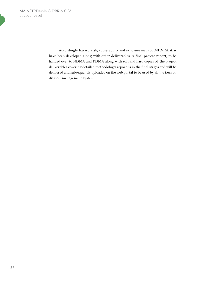<span id="page-39-0"></span>Accordingly, hazard, risk, vulnerability and exposure maps of MHVRA atlas have been developed along with other deliverables. A final project report, to be handed over to NDMA and PDMA along with soft and hard copies of the project deliverables covering detailed methodology report, is in the final stages and will be delivered and subsequently uploaded on the web portal to be used by all the tiers of disaster management system.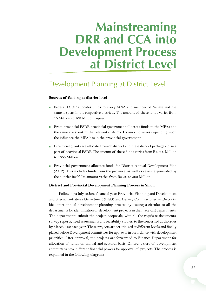# **Mainstreaming DRR and CCA into Development Process at District Level**

# Development Planning at District Level

#### **Sources of funding at district level**

- $\overline{\phantom{a}}$ Federal PSDP allocates funds to every MNA and member of Senate and the same is spent in the respective districts. The amount of these funds varies from 10 Million to 100 Million rupees.
- From provincial PSDP, provincial government allocates funds to the MPAs and the same are spent in the relevant districts. Its amount varies depending upon the influence the MPA has in the provincial government.
- Provincial grants are allocated to each district and these district packages form a part of provincial PSDP. The amount of these funds varies from Rs. 500 Million to 1000 Million.
- **Provincial government allocates funds for District Annual Development Plan** (ADP). This includes funds from the province, as well as revenue generated by the district itself. Its amount varies from Rs. 30 to 300 Million.

#### **District and Provincial Development Planning Process in Sindh**

Following a July to June financial year, Provincial Planning and Development and Special Initiatives Department (P&D) and Deputy Commissioner, in Districts, kick start annual development planning process by issuing a circular to all the departments for identification of development projects in their relevant departments. The departments submit the project proposals, with all the requisite documents, survey reports, need assessments and feasibility studies, to the concerned authorities by March 31st each year. These projects are scrutinized at different levels and finally placed before Development committees for approval in accordance with development priorities. After approval, the projects are forwarded to Finance Department for allocation of funds on annual and sectoral basis. Different tiers of development committees have different financial powers for approval of projects. The process is explained in the following diagram: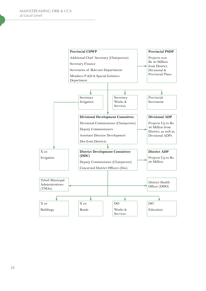<span id="page-41-0"></span>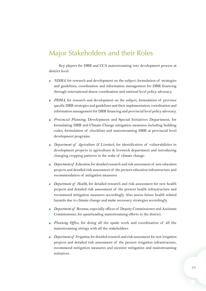## Major Stakeholders and their Roles

Key players for DRR and CCA mainstreaming into development process at district level:

- *NDMA*, for research and development on the subject, formulation of strategies  $\mathcal{L}_{\mathrm{max}}$ and guidelines, coordination and information management for DRR financing through international donor coordination and national level policy advocacy.
- **PDMA**, for research and development on the subject, formulation of province specific DRR strategies and guidelines and their implementation, coordination and information management for DRR financing and provincial level policy advocacy.
- *Provincial Planning*, Development and Special Initiatives Department, for formulating DRR and Climate Change mitigation measures including building codes, formulation of checklists and mainstreaming DRR at provincial level development programs.
- *Department of Agriculture & Livestock*, for identification of vulnerabilities in development projects in agriculture & livestock department and introducing changing cropping patterns in the wake of climate change.
- **Department of Education, for detailed research and risk assessment of new education** projects and detailed risk assessment of the present education infrastructure and recommendation of mitigation measures.
- **Department of Health, for detailed research and risk assessment for new health** projects and detailed risk assessment of the present health infrastructure and recommend mitigation measures accordingly. Also assess future health related hazards due to climate change and make necessary strategies accordingly.
- *Department of Revenue*, especially offices of Deputy Commissioner and Assistant Commissioner, for spearheading mainstreaming efforts in the district.
- **Planning Office**, for doing all the spade work and coordination of all the mainstreaming strings with all the stakeholders.
- *Department of Irrigation*, for detailed research and risk assessment for new irrigation  $\blacksquare$ projects and detailed risk assessment of the present irrigation infrastructure, recommend mitigation measures and monitor mitigation and mainstreaming initiatives.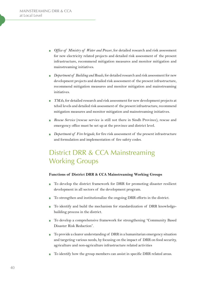- <span id="page-43-0"></span>*Office of Ministry of Water and Power*, for detailed research and risk assessment for new electricity related projects and detailed risk assessment of the present infrastructure, recommend mitigation measures and monitor mitigation and mainstreaming initiatives.
- *Department of Building and Roads*, for detailed research and risk assessment for new development projects and detailed risk assessment of the present infrastructure, recommend mitigation measures and monitor mitigation and mainstreaming initiatives.
- *TMAs*, for detailed research and risk assessment for new development projects at Ē. tehsil levels and detailed risk assessment of the present infrastructure, recommend mitigation measures and monitor mitigation and mainstreaming initiatives.
- *Rescue Service* (rescue service is still not there in Sindh Province), rescue and emergency office must be set up at the province and district level.
- *Department of Fire brigade*, for fire risk assessment of the present infrastructure and formulation and implementation of fire safety codes.

# District DRR & CCA Mainstreaming Working Groups

## **Functions of District DRR & CCA Mainstreaming Working Groups**

- To develop the district framework for DRR for promoting disaster resilient development in all sectors of the development program.
- To strengthen and institutionalize the ongoing DRR efforts in the district.
- To identify and build the mechanism for standardization of DRR knowledgebuilding process in the district.
- To develop a comprehensive framework for strengthening "Community Based Disaster Risk Reduction".
- To provide a clearer understanding of DRR in a humanitarian emergency situation and targeting various needs, by focusing on the impact of DRR on food security, agriculture and non-agriculture infrastructure related activities
- To identify how the group members can assist in specific DRR related areas.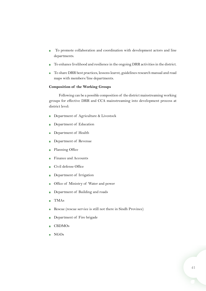- <span id="page-44-0"></span> To promote collaboration and coordination with development actors and line Ī. departments.
- To enhance livelihood and resilience in the ongoing DRR activities in the district.
- To share DRR best practices, lessons learnt, guidelines research manual and road F maps with members/line departments.

## **Composition of the Working Groups**

Following can be a possible composition of the district mainstreaming working groups for effective DRR and CCA mainstreaming into development process at district level:

- Department of Agriculture & Livestock  $\overline{\phantom{a}}$
- Department of Education  $\overline{\phantom{a}}$
- Department of Health H
- Department of Revenue
- Planning Office  $\overline{\phantom{a}}$
- Finance and Accounts r.
- Civil defense Office
- Department of Irrigation F
- Office of Ministry of Water and power n.
- Department of Building and roads  $\overline{\phantom{a}}$
- TMAs r.
- Rescue (rescue service is still not there in Sindh Province) ×
- Department of Fire brigade Ē.
- CBDMOs
- NGOs $\overline{\phantom{a}}$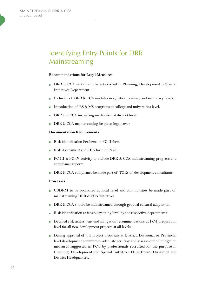# Identifying Entry Points for DRR Mainstreaming

#### **Recommendations for Legal Measures**

- $\overline{\phantom{a}}$ DRR & CCA sections to be established in Planning, Development & Special Initiatives Department.
- Inclusion of DRR & CCA modules in syllabi at primary and secondary levels. ×
- Introduction of BS & MS programs at college and universities level.
- DRR and CCA inspecting mechanism at district level.
- DRR & CCA mainstreaming be given legal cover.

#### **Documentation Requirements**

- Risk identification Performa in PC-II form.
- Risk Assessment and CCA form in PC-I.
- PC-III & PC-IV activity to include DRR & CCA mainstreaming progress and compliance reports.
- DRR & CCA compliance be made part of TORs of development consultants.

#### **Processes**

- CBDRM to be promoted at local level and communities be made part of mainstreaming DRR & CCA initiatives.
- DRR & CCA should be mainstreamed through gradual cultural adaptation.  $\mathcal{L}_{\mathcal{A}}$
- Risk identification at feasibility study level by the respective departments.
- Detailed risk assessment and mitigation recommendations at PC-I preparation level for all new development projects at all levels.
- During approval of the project proposals at District, Divisional or Provincial level development committees, adequate scrutiny and assessment of mitigation measures suggested in PC-I by professionals recruited for the purpose in Planning, Development and Special Initiatives Department, Divisional and District Headquarters.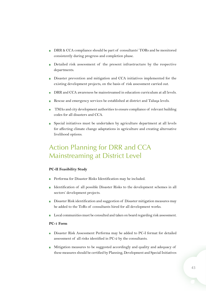- <span id="page-46-0"></span>DRR & CCA compliance should be part of consultants' TORs and be monitored consistently during progress and completion phase.
- Detailed risk assessment of the present infrastructure by the respective departments.
- Disaster prevention and mitigation and CCA initiatives implemented for the existing development projects, on the basis of risk assessment carried out.
- DRR and CCA awareness be mainstreamed in education curriculum at all levels.
- Rescue and emergency services be established at district and Taluqa levels.
- TMAs and city development authorities to ensure compliance of relevant building codes for all disasters and CCA.
- Special initiatives must be undertaken by agriculture department at all levels for affecting climate change adaptations in agriculture and creating alternative livelihood options.

# Action Planning for DRR and CCA Mainstreaming at District Level

## **PC-II Feasibility Study**

- Performa for Disaster Risks Identification may be included.
- Identification of all possible Disaster Risks to the development schemes in all sectors' development projects.
- Disaster Risk identification and suggestion of Disaster mitigation measures may  $\overline{\phantom{a}}$ be added to the ToRs of consultants hired for all development works.
- Local communities must be consulted and taken on board regarding risk assessment.

#### **PC-1 Form**

- Disaster Risk Assessment Performa may be added to PC-I format for detailed  $\blacksquare$ assessment of all risks identified in PC-2 by the consultants.
- Mitigation measures to be suggested accordingly and quality and adequacy of these measures should be certified by Planning, Development and Special Initiatives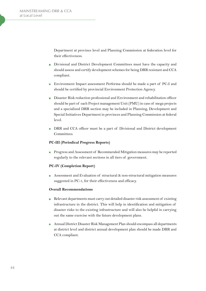<span id="page-47-0"></span>Department at province level and Planning Commission at federation level for their effectiveness.

- Divisional and District Development Committees must have the capacity and should assess and certify development schemes for being DRR resistant and CCA compliant.
- Environment Impact assessment Performa should be made a part of PC-I and should be certified by provincial Environment Protection Agency.
- Disaster Risk reduction professional and Environment and rehabilitation officer should be part of each Project management Unit (PMU) in case of mega projects and a specialized DRR section may be included in Planning, Development and Special Initiatives Department in provinces and Planning Commission at federal level.
- DRR and CCA officer must be a part of Divisional and District development Committees.

## **PC-III (Periodical Progress Reports)**

**Progress and Assessment of Recommended Mitigation measures may be reported** regularly to the relevant sections in all tiers of government.

#### **PC-IV (Completion Report)**

Assessment and Evaluation of structural & non-structural mitigation measures suggested in PC-1, for their effectiveness and efficacy.

### **Overall Recommendations**

- Relevant departments must carry out detailed disaster risk assessment of existing  $\blacksquare$ infrastructure in the district. This will help in identification and mitigation of disaster risks to the existing infrastructure and will also be helpful in carrying out the same exercise with the future development plans.
- **Annual District Disaster Risk Management Plan should encompass all departments** at district level and district annual development plan should be made DRR and CCA compliant.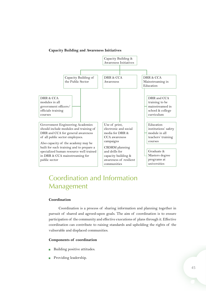## **Capacity Building and Awareness Initiatives**



# Coordination and Information Management

## **Coordination**

Coordination is a process of sharing information and planning together in pursuit of shared and agreed-upon goals. The aim of coordination is to ensure participation of the community and effective executions of plans through it. Effective coordination can contribute to raising standards and upholding the rights of the vulnerable and displaced communities.

## **Components of coordination**

- Building positive attitudes. Ē.
- Providing leadership.Ē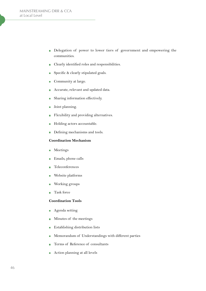- <span id="page-49-0"></span>Delegation of power to lower tiers of government and empowering the Ī. communities.
- Clearly identified roles and responsibilities.  $\mathbb{Z}^2$
- Specific & clearly stipulated goals. n.
- Community at large. Ē.
- Accurate, relevant and updated data. г
- Sharing information effectively.
- Joint planning. Î.
- Flexibility and providing alternatives. Ē.
- Holding actors accountable. Ē.
- Defining mechanisms and tools. Ī.

#### **Coordination Mechanism**

- Meetings  $\overline{\phantom{a}}$
- Emails, phone calls  $\overline{\phantom{a}}$
- Teleconferences п
- Website platforms п
- Working groups
- Task force  $\blacksquare$

## **Coordination Tools**

- Agenda setting Ē.
- Minutes of the meetings ×
- Establishing distribution lists П
- Memorandum of Understandings with different parties  $\blacksquare$
- Terms of Reference of consultants
- Action planning at all levels $\overline{\phantom{a}}$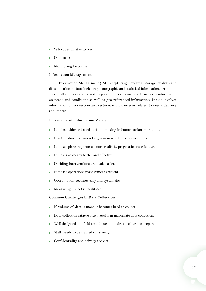- Who does what matrixes
- Data bases
- Monitoring Performa  $\mathcal{L}_{\mathcal{A}}$

#### **Information Management**

Information Management (IM) is capturing, handling, storage, analysis and dissemination of data, including demographic and statistical information, pertaining specifically to operations and to populations of concern. It involves information on needs and conditions as well as geo-referenced information. It also involves information on protection and sector-specific concerns related to needs, delivery and impact.

#### **Importance of Information Management**

- It helps evidence-based decision-making in humanitarian operations.
- It establishes a common language in which to discuss things.
- It makes planning process more realistic, pragmatic and effective.
- It makes advocacy better and effective.
- Deciding interventions are made easier.
- It makes operations management efficient.
- Coordination becomes easy and systematic.
- Measuring impact is facilitated.

#### **Common Challenges in Data Collection**

- If volume of data is more, it becomes hard to collect.  $\overline{\phantom{a}}$
- Data collection fatigue often results in inaccurate data collection.
- Well designed and field tested questionnaires are hard to prepare.
- Staff needs to be trained constantly.
- Confidentiality and privacy are vital. $\mathbf{r}$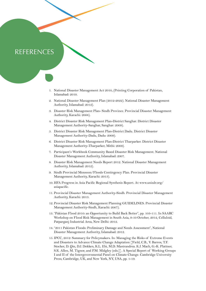## **REFERENCES**

- 1. National Disaster Management Act 2010, (Printing Corporation of Pakistan, Islamabad: 2010.
- 2. National Disaster Management Plan (2012-2022). National Disaster Management Authority, Islamabad: 2012).
- 3. Disaster Risk Management Plan- Sindh Province. Provincial Disaster Management Authority, Karachi: 2008).
- 4. District Disaster Risk Management Plan-District Sanghar. District Disaster Management Authority-Sanghar, Sanghar: 2009).
- 5. District Disaster Risk Management Plan-District Dadu. District Disaster Management Authority-Dadu, Dadu: 2009).
- 6. District Disaster Risk Management Plan-District Tharparker. District Disaster Management Authority-Tharparker, Mithi: 2009).
- 7. Participant's Workbook Community Based Disaster Risk Management. National Disaster Management Authority, Islamabad: 2007.
- 8. Disaster Risk Management Needs Report 2012. National Disaster Management Authority, Islamabad: 2012).
- 9. Sindh Provincial Monsoon/Floods Contingency Plan. Provincial Disaster Management Authority, Karachi: 2013).
- 10. HFA Progress in Asia Pacific Regional Synthesis Report. At www.unisdr.org/ asiapacific.
- 11. Provincial Disaster Management Authority-Sindh. Provincial Disaster Management Authority, Karachi: 2013.
- 12. Provincial Disaster Risk Management Planning GUIDELINES. Provincial Disaster Management Authority-Sindh, Karachi: 2007).
- 13. "Pakistan Flood 2010: an Opportunity to Build Back Better", pp. 103-111. In SAARC Workshop on Flood Risk Management in South Asia, 9-10 October, 2012, Celluloid, Patparganj Industrial Area, New Delhi: 2012.
- 14. "2011 Pakistan Floods: Preliminary Damage and Needs Assessment", National Disaster Management Authority, Islamabad: 2012.
- 15. IPCC, 2012: Summary for Policymakers. In: Managing the Risks of Extreme Events and Disasters to Advance Climate Change Adaptation [Field, C.B., V. Barros, T.F. Stocker, D. Qin, D.J. Dokken, K.L. Ebi, M.D. Mastrandrea. K.J. Mach, G.-K. Plattner, S.K. Allen, M. Tignor, and P.M. Midgley (eds.)]. A Special Report of Working Groups I and II of the Intergovernmental Panel on Climate Change. Cambridge University Press, Cambridge, UK, and New York, NY, USA, pp. 1-19.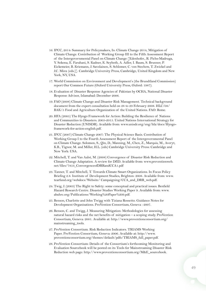- <span id="page-52-0"></span>16. IPCC, 2014: Summary for Policymakers, In: Climate Change 2014, Mitigation of Climate Change. Contribution of Working Group III to the Fifth Assessment Report of the Intergovernmental Panel on Climate Change [Edenhofer., R. Pichs-Madruga, Y. Sokona, E. Farahani, S. Kadner, K. Seyboth, A. Adler, I. Baum, S. Brunner, P. Eickemeier, B. Kriemann, J. Savolainen, S. Schlomer, C. von Stechow, T. Zwickel and J.C. Minx (eds.)]. Cambridge University Press, Cambridge, United Kingdom and New York, NY, USA.
- 17. World Commission on Environment and Development's (the Brundtland Commission) report Our Common Future (Oxford University Press, Oxford: 1987).
- 18. Evaluation of Disaster Response Agencies of Pakistan by OCHA, National Disaster Response Advisor, Islamabad: December 2006.
- 19. FAO (2008) Climate Change and Disaster Risk Management. Technical background document from the expert consultation held on 28 to 29 February 2008. HLC/08/ BAK/5 Food and Agriculture Organization of the United Nations. FAO: Rome.
- 20. HFA (2005) The Hyogo Framework for Action: Building the Resilience of Nations and Communities to Disasters. 2005-2015. United Nations International Strategy for Disaster Reduction (UNISDR). Available from: www.unisdr.org/eng/hfa/docs/Hyogoframework-for-action-english.pdf.
- 21. IPCC (2007) Climate Change 2007: The Physical Science Basis. Contribution of Working Group I to the Fourth Assessment Report of the Intergovernmental Panel on Climate Change. Solomon, S., Qin, D., Manning, M., Chen, Z., Marquis, M., Averyt, K.B., Tignor, M. and Miller, H.L. (eds) Cambridge University Press: Cambridge and New York: USA.
- 22. Mitchell, T. and Van Aalst, M. (2008) Convergence of Disaster Risk Reduction and Climate Change Adaptation. A review for DfID. Available from: www.preventionweb. net/files/7853\_ConvergenceofDRRandCCA1.pdf
- 23. Tanner, T. and Mitchell, T. Towards Climate Smart Organizations. In Focus Policy Briefing 2.8. Institute of Development Studies, Brighton: 2008. Available from: www. tearfund.org/webdocs/Website/ Campaigning/CCA\_and\_DRR\_web.pdf.
- 24. Twig, J. (2003) The Right to Safety: some conceptual and practical issues. Benfield Hazard Research Centre. Disaster Studies Working Paper 9. Available from: www. abuhrc.org/Publications/Working%20Paper%209.pdf.
- 25. Benson, Charlotte and John Twigg with Tiziana Rossetto. Guidance Notes for Development Organisations. ProVention Consortium, Geneva : 2007.
- 26. Benson, C. and Twigg, J. Measuring Mitigation: Methodologies for assessing natural hazard risks and the net benefits of mitigation – a scoping study. ProVention Consortium, Geneva: 2001. Available at: http://www.proventionconsortium.org/ mainstreaming\_tools.
- 27. ProVention Consortium. Risk Reduction Indicators. TRIAMS Working Paper. ProVention Consortium, Geneva: 2006. Available at: http://www. proventionconsortium.org/themes/default/pdfs/TRIAMS\_full\_paper.pdf.
- 28. ProVention Consortium: Details of the Consortium's forthcoming Monitoring and Evaluation Sourcebook will be posted on its Tools for Mainstreaming Disaster Risk Reduction web page: http://www.proventionconsortium.org/M&E\_sourcebook.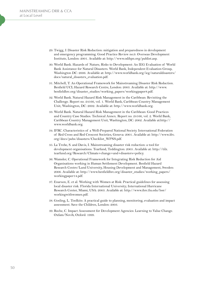- 29. Twigg, J. Disaster Risk Reduction: mitigation and preparedness in development and emergency programming. Good Practice Review no.9. Overseas Development Institute, London: 2001. Available at: http://www.odihpn.org/publist.asp.
- 30. World Bank. Hazards of Nature, Risks to Development: An IEG Evaluation of World Bank Assistance for Natural Disasters. World Bank, Independent Evaluation Group, Washington DC: 2006. Available at: http://www.worldbank.org/ieg/naturaldisasters/ docs/natural\_disasters\_evaluation.pdf.
- 31. Mitchell, T. An Operational Framework for Mainstreaming Disaster Risk Reduction. Benfield UCL Hazard Research Centre, London: 2003. Available at: http://www. benfieldhrc.org/disaster\_studies/working\_papers/workingpaper8.pdf.
- 32. World Bank. Natural Hazard Risk Management in the Caribbean: Revisiting the Challenge. Report no. 24166, vol. 1. World Bank, Caribbean Country Management Unit, Washington, DC: 2002. Available at: http://www.worldbank.org.
- 33. World Bank. Natural Hazard Risk Management in the Caribbean: Good Practices and Country Case Studies. Technical Annex. Report no. 24166, vol. 2. World Bank, Caribbean Country Management Unit, Washington, DC: 2002. Available at:http:// www.worldbank.org.
- 34. IFRC. Characteristics of a Well-Prepared National Society. International Federation of Red Cross and Red Crescent Societies, Geneva: 2001. Available at: http://www.ifrc. org/docs/pubs/disasters/Checklist\_WPNS.pdf.
- 35. La Trobe, S. and Davis, I. Mainstreaming disaster risk reduction: a tool for development organisations. Tearfund, Teddington: 2005. Available at: http://tilz. tearfund.org/Research/Climate+change+and+disasters+policy.
- 36. Wamsler, C. Operational Framework for Integrating Risk Reduction for Aid Organisations working in Human Settlement Development. Benfield Hazard Research Centre/Lund University, Housing Development and Management, Sweden: 2006. Available at: http://www.benfieldhrc.org/disaster\_studies/working\_papers/ workingpaper14.pdf.
- 37. Enarson, E. et al. Working with Women at Risk: Practical guidelines for assessing local disaster risk. Florida International University; International Hurricane Research Center, Miami, USA: 2003. Available at: http://www.ihrc.fiu.edu/lssr/ workingwithwomen.pdf.
- 38. Gosling, L. Toolkits: A practical guide to planning, monitoring, evaluation and impact assessment. Save the Children, London: 2003.
- 39. Roche, C. Impact Assessment for Development Agencies: Learning to Value Change. Oxfam/Novib, Oxford: 1999.